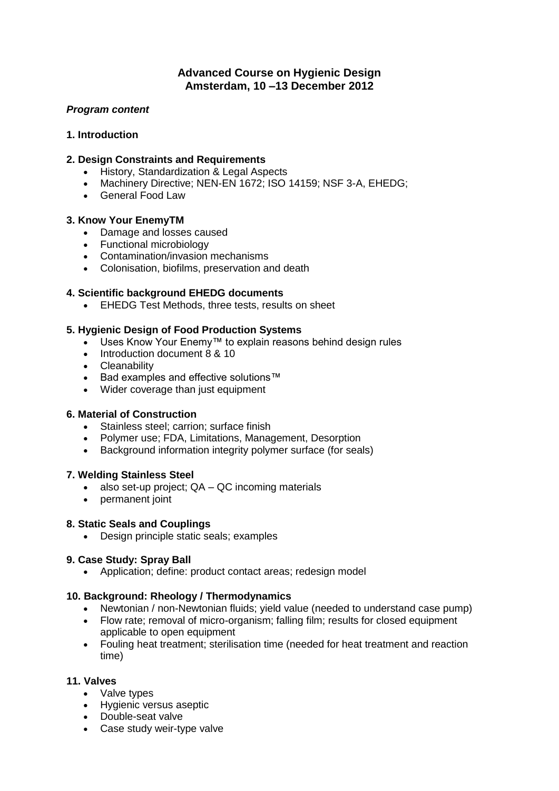# **Advanced Course on Hygienic Design Amsterdam, 10 –13 December 2012**

## *Program content*

## **1. Introduction**

# **2. Design Constraints and Requirements**

- **•** History, Standardization & Legal Aspects
- Machinery Directive; NEN-EN 1672; ISO 14159; NSF 3-A, EHEDG;
- General Food Law

### **3. Know Your EnemyTM**

- Damage and losses caused
- Functional microbiology
- Contamination/invasion mechanisms
- Colonisation, biofilms, preservation and death

## **4. Scientific background EHEDG documents**

**EHEDG Test Methods, three tests, results on sheet** 

### **5. Hygienic Design of Food Production Systems**

- Uses Know Your Enemy™ to explain reasons behind design rules
- Introduction document 8 & 10
- Cleanability
- Bad examples and effective solutions™
- Wider coverage than just equipment

### **6. Material of Construction**

- Stainless steel: carrion: surface finish
- Polymer use; FDA, Limitations, Management, Desorption
- Background information integrity polymer surface (for seals)

### **7. Welding Stainless Steel**

- $\bullet$  also set-up project;  $QA QC$  incoming materials
- permanent joint

### **8. Static Seals and Couplings**

Design principle static seals; examples

### **9. Case Study: Spray Ball**

Application; define: product contact areas; redesign model

### **10. Background: Rheology / Thermodynamics**

- Newtonian / non-Newtonian fluids; yield value (needed to understand case pump)
- Flow rate; removal of micro-organism; falling film; results for closed equipment applicable to open equipment
- Fouling heat treatment; sterilisation time (needed for heat treatment and reaction time)

### **11. Valves**

- Valve types
- Hygienic versus aseptic
- Double-seat valve
- Case study weir-type valve